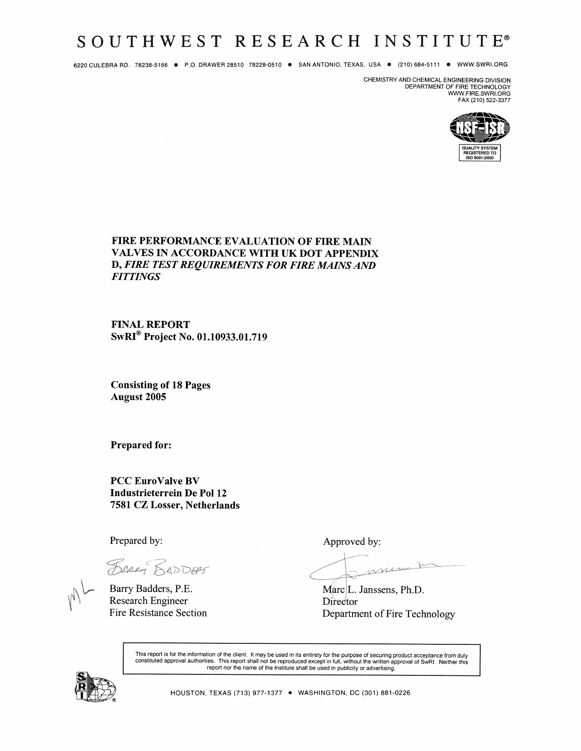# SOUTHWEST RESEARCH INSTITUTE®

6220 CULEBRA RD. 78238-5166 ● P.O. DRAWER 28510 78228-0510 ● SAN ANTONIO, TEXAS, USA ● (210) 684-5111 ● WWW.SWRI.ORG

CHEMISTRY AND CHEMICAL ENGINEERING DIVISION DEPARTMENT OF FIRE TECHNOLOGY<br>WWW.FIRE.SWRI.ORG FAX (210) 522-3377



### FIRE PERFORMANCE EVALUATION OF FIRE MAIN **VALVES IN ACCORDANCE WITH UK DOT APPENDIX** D, FIRE TEST REQUIREMENTS FOR FIRE MAINS AND **FITTINGS**

**FINAL REPORT** SwRI<sup>®</sup> Project No. 01.10933.01.719

**Consisting of 18 Pages August 2005** 

**Prepared for:** 

**PCC EuroValve BV** Industrieterrein De Pol 12 7581 CZ Losser, Netherlands

Prepared by:

BRAG BADDERS

Barry Badders, P.E. **Research Engineer Fire Resistance Section**  Approved by:

ment

Marc<sub>L</sub>. Janssens, Ph.D. Director Department of Fire Technology

This report is for the information of the client. It may be used in its entirety for the purpose of securing product acceptance from duly constituted approval authorities. This report shall not be reproduced except in full

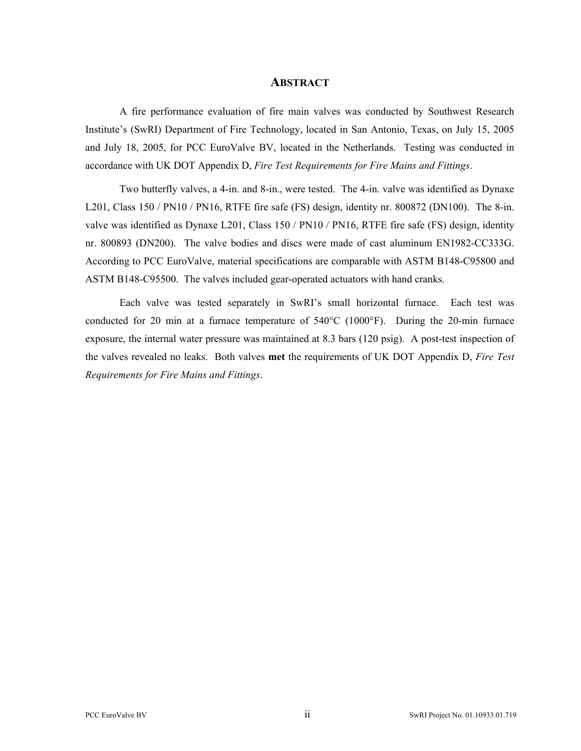#### **ABSTRACT**

A fire performance evaluation of fire main valves was conducted by Southwest Research Institute's (SwRI) Department of Fire Technology, located in San Antonio, Texas, on July 15, 2005 and July 18, 2005, for PCC EuroValve BV, located in the Netherlands. Testing was conducted in accordance with UK DOT Appendix D, *Fire Test Requirements for Fire Mains and Fittings*.

Two butterfly valves, a 4-in. and 8-in., were tested. The 4-in. valve was identified as Dynaxe L201, Class 150 / PN10 / PN16, RTFE fire safe (FS) design, identity nr. 800872 (DN100). The 8-in. valve was identified as Dynaxe L201, Class 150 / PN10 / PN16, RTFE fire safe (FS) design, identity nr. 800893 (DN200). The valve bodies and discs were made of cast aluminum EN1982-CC333G. According to PCC EuroValve, material specifications are comparable with ASTM B148-C95800 and ASTM B148-C95500. The valves included gear-operated actuators with hand cranks.

Each valve was tested separately in SwRI's small horizontal furnace. Each test was conducted for 20 min at a furnace temperature of 540°C (1000°F). During the 20-min furnace exposure, the internal water pressure was maintained at 8.3 bars (120 psig). A post-test inspection of the valves revealed no leaks. Both valves **met** the requirements of UK DOT Appendix D, *Fire Test Requirements for Fire Mains and Fittings*.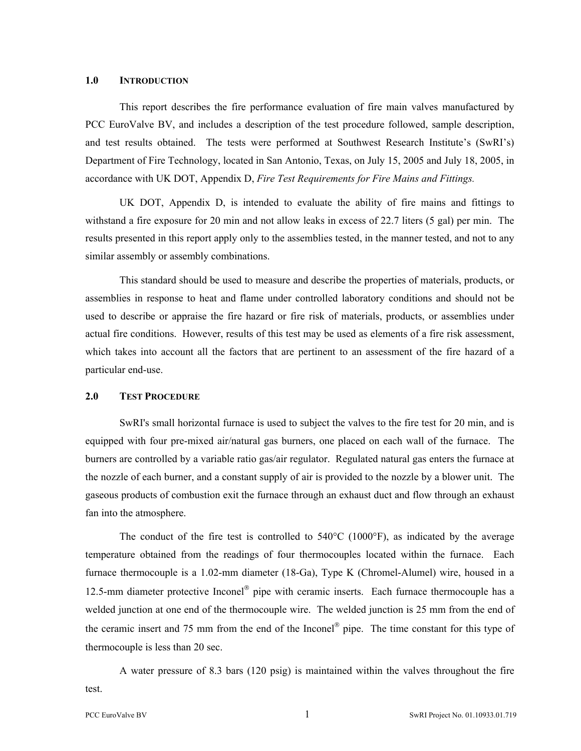#### **1.0 INTRODUCTION**

This report describes the fire performance evaluation of fire main valves manufactured by PCC EuroValve BV, and includes a description of the test procedure followed, sample description, and test results obtained. The tests were performed at Southwest Research Institute's (SwRI's) Department of Fire Technology, located in San Antonio, Texas, on July 15, 2005 and July 18, 2005, in accordance with UK DOT, Appendix D, *Fire Test Requirements for Fire Mains and Fittings.* 

UK DOT, Appendix D, is intended to evaluate the ability of fire mains and fittings to withstand a fire exposure for 20 min and not allow leaks in excess of 22.7 liters (5 gal) per min. The results presented in this report apply only to the assemblies tested, in the manner tested, and not to any similar assembly or assembly combinations.

This standard should be used to measure and describe the properties of materials, products, or assemblies in response to heat and flame under controlled laboratory conditions and should not be used to describe or appraise the fire hazard or fire risk of materials, products, or assemblies under actual fire conditions. However, results of this test may be used as elements of a fire risk assessment, which takes into account all the factors that are pertinent to an assessment of the fire hazard of a particular end-use.

#### **2.0 TEST PROCEDURE**

SwRI's small horizontal furnace is used to subject the valves to the fire test for 20 min, and is equipped with four pre-mixed air/natural gas burners, one placed on each wall of the furnace. The burners are controlled by a variable ratio gas/air regulator. Regulated natural gas enters the furnace at the nozzle of each burner, and a constant supply of air is provided to the nozzle by a blower unit. The gaseous products of combustion exit the furnace through an exhaust duct and flow through an exhaust fan into the atmosphere.

The conduct of the fire test is controlled to  $540^{\circ}$ C (1000 $^{\circ}$ F), as indicated by the average temperature obtained from the readings of four thermocouples located within the furnace. Each furnace thermocouple is a 1.02-mm diameter (18-Ga), Type K (Chromel-Alumel) wire, housed in a 12.5-mm diameter protective Inconel<sup>®</sup> pipe with ceramic inserts. Each furnace thermocouple has a welded junction at one end of the thermocouple wire. The welded junction is 25 mm from the end of the ceramic insert and 75 mm from the end of the Inconel<sup>®</sup> pipe. The time constant for this type of thermocouple is less than 20 sec.

A water pressure of 8.3 bars (120 psig) is maintained within the valves throughout the fire test.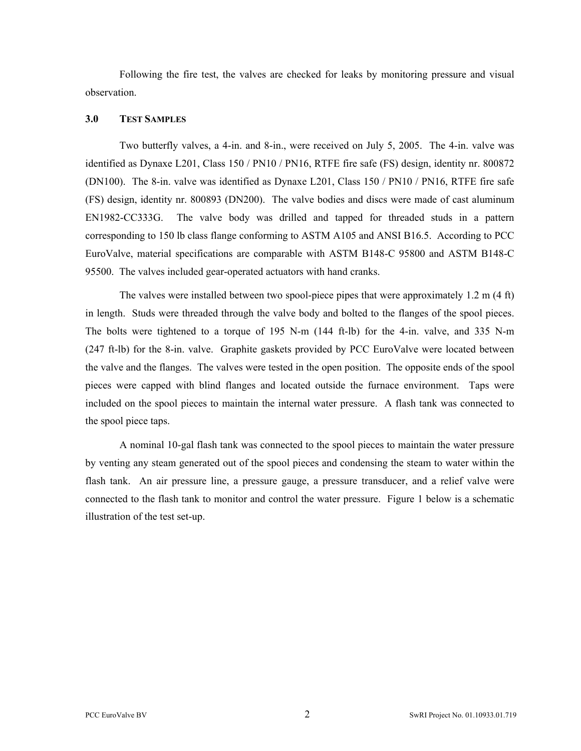Following the fire test, the valves are checked for leaks by monitoring pressure and visual observation.

#### **3.0 TEST SAMPLES**

Two butterfly valves, a 4-in. and 8-in., were received on July 5, 2005. The 4-in. valve was identified as Dynaxe L201, Class 150 / PN10 / PN16, RTFE fire safe (FS) design, identity nr. 800872 (DN100). The 8-in. valve was identified as Dynaxe L201, Class 150 / PN10 / PN16, RTFE fire safe (FS) design, identity nr. 800893 (DN200). The valve bodies and discs were made of cast aluminum EN1982-CC333G. The valve body was drilled and tapped for threaded studs in a pattern corresponding to 150 lb class flange conforming to ASTM A105 and ANSI B16.5. According to PCC EuroValve, material specifications are comparable with ASTM B148-C 95800 and ASTM B148-C 95500. The valves included gear-operated actuators with hand cranks.

The valves were installed between two spool-piece pipes that were approximately 1.2 m (4 ft) in length. Studs were threaded through the valve body and bolted to the flanges of the spool pieces. The bolts were tightened to a torque of 195 N-m (144 ft-lb) for the 4-in. valve, and 335 N-m (247 ft-lb) for the 8-in. valve. Graphite gaskets provided by PCC EuroValve were located between the valve and the flanges. The valves were tested in the open position. The opposite ends of the spool pieces were capped with blind flanges and located outside the furnace environment. Taps were included on the spool pieces to maintain the internal water pressure. A flash tank was connected to the spool piece taps.

A nominal 10-gal flash tank was connected to the spool pieces to maintain the water pressure by venting any steam generated out of the spool pieces and condensing the steam to water within the flash tank. An air pressure line, a pressure gauge, a pressure transducer, and a relief valve were connected to the flash tank to monitor and control the water pressure. Figure 1 below is a schematic illustration of the test set-up.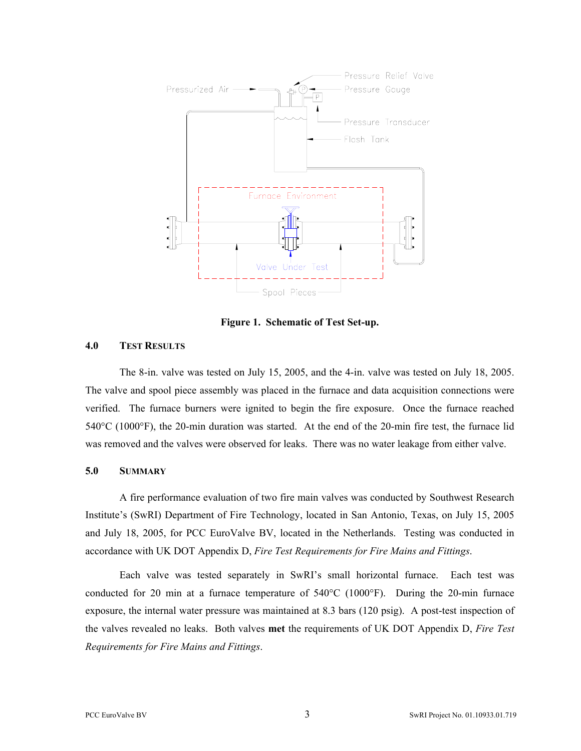

**Figure 1. Schematic of Test Set-up.** 

#### **4.0 TEST RESULTS**

The 8-in. valve was tested on July 15, 2005, and the 4-in. valve was tested on July 18, 2005. The valve and spool piece assembly was placed in the furnace and data acquisition connections were verified. The furnace burners were ignited to begin the fire exposure. Once the furnace reached 540°C (1000°F), the 20-min duration was started. At the end of the 20-min fire test, the furnace lid was removed and the valves were observed for leaks. There was no water leakage from either valve.

#### **5.0 SUMMARY**

A fire performance evaluation of two fire main valves was conducted by Southwest Research Institute's (SwRI) Department of Fire Technology, located in San Antonio, Texas, on July 15, 2005 and July 18, 2005, for PCC EuroValve BV, located in the Netherlands. Testing was conducted in accordance with UK DOT Appendix D, *Fire Test Requirements for Fire Mains and Fittings*.

Each valve was tested separately in SwRI's small horizontal furnace. Each test was conducted for 20 min at a furnace temperature of 540°C (1000°F). During the 20-min furnace exposure, the internal water pressure was maintained at 8.3 bars (120 psig). A post-test inspection of the valves revealed no leaks. Both valves **met** the requirements of UK DOT Appendix D, *Fire Test Requirements for Fire Mains and Fittings*.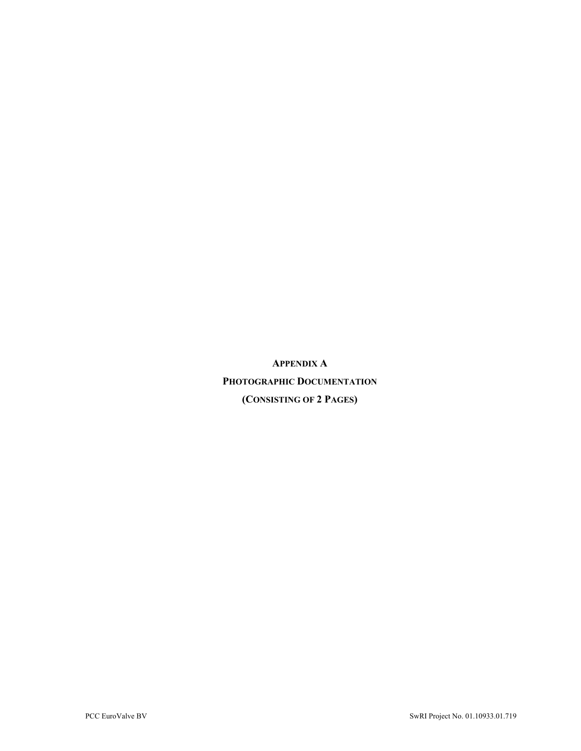**APPENDIX A PHOTOGRAPHIC DOCUMENTATION (CONSISTING OF 2 PAGES)**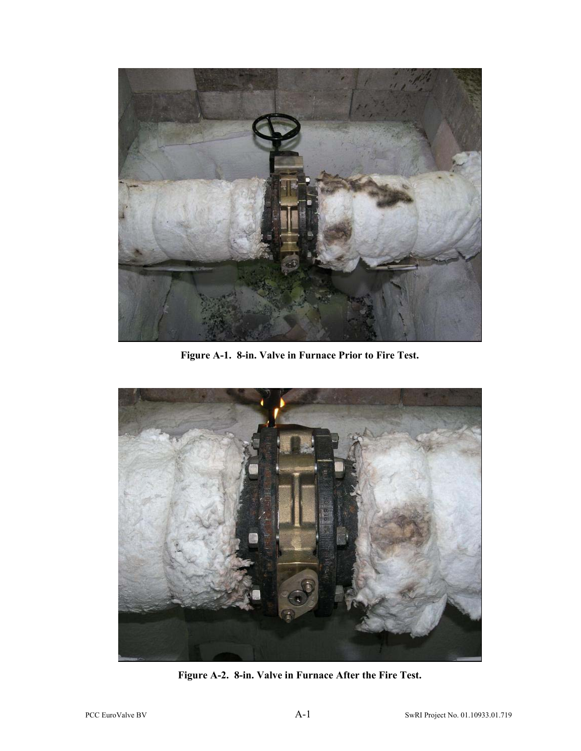

**Figure A-1. 8-in. Valve in Furnace Prior to Fire Test.** 



**Figure A-2. 8-in. Valve in Furnace After the Fire Test.**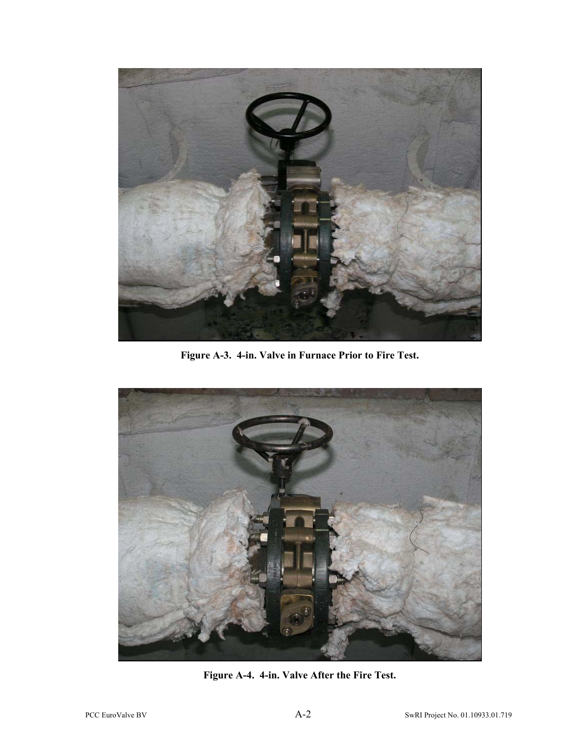

**Figure A-3. 4-in. Valve in Furnace Prior to Fire Test.** 



**Figure A-4. 4-in. Valve After the Fire Test.**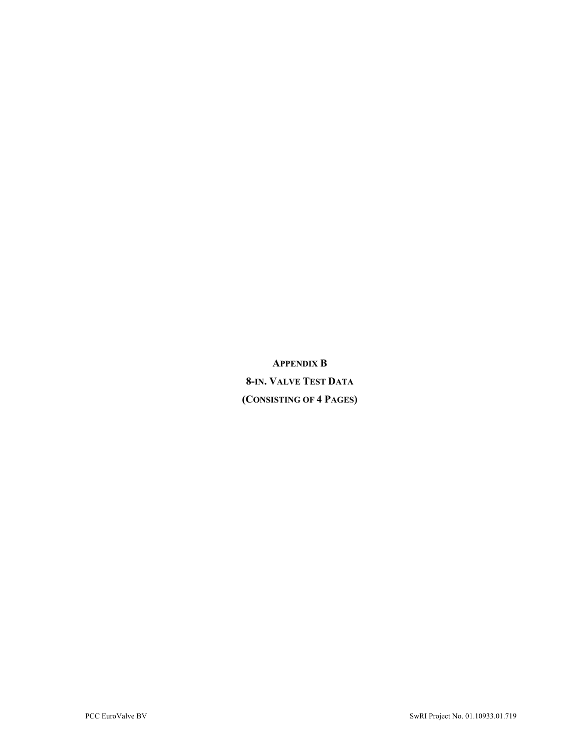**APPENDIX B 8-IN. VALVE TEST DATA (CONSISTING OF 4 PAGES)**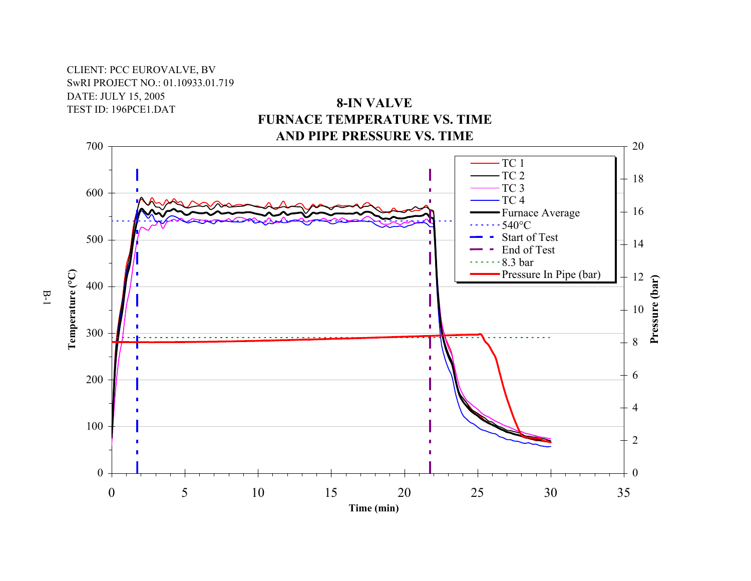# CLIENT: PCC EUROVALVE, BV SwRI PROJECT NO.: 01.10933.01.719 DATE: JULY 15, 2005 TEST ID: 196PCE1.DAT

# **8-IN VALVE FURNACE TEMPERATURE VS. TIMEAND PIPE PRESSURE VS. TIME**



B-1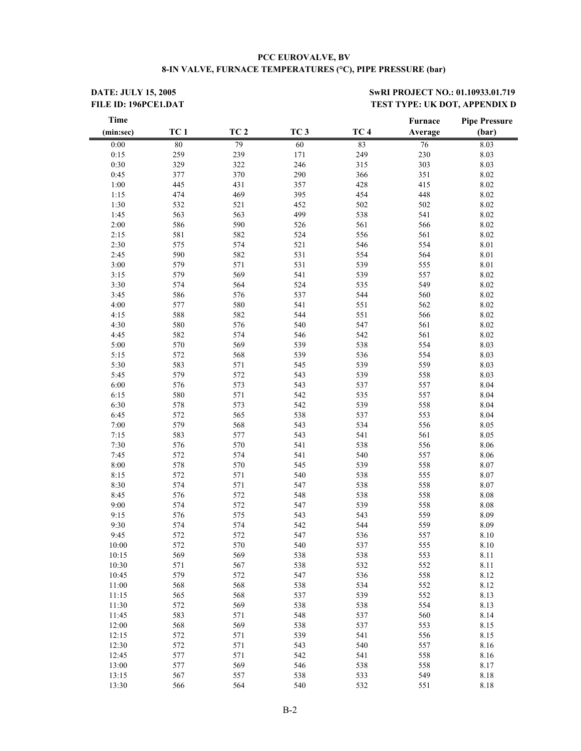#### **PCC EUROVALVE, BV 8-IN VALVE, FURNACE TEMPERATURES (°C), PIPE PRESSURE (bar)**

#### **DATE: JULY 15, 2005** SwRI PROJECT NO.: 01.10933.01.719 FILE ID: 196PCE1.DAT **TEST TYPE: UK DOT, APPENDIX D**

| <b>Time</b> |                 |                 |                 |                 | Furnace | <b>Pipe Pressure</b> |
|-------------|-----------------|-----------------|-----------------|-----------------|---------|----------------------|
| (min:sec)   | TC <sub>1</sub> | TC <sub>2</sub> | TC <sub>3</sub> | TC <sub>4</sub> | Average | (bar)                |
| 0:00        | 80              | 79              | 60              | 83              | 76      | 8.03                 |
| 0:15        | 259             | 239             | 171             | 249             | 230     | 8.03                 |
| 0:30        | 329             | 322             | 246             | 315             | 303     | 8.03                 |
| 0:45        | 377             | 370             | 290             | 366             | 351     | 8.02                 |
| $1:00$      | 445             | 431             | 357             | 428             | 415     | 8.02                 |
| 1:15        | 474             | 469             | 395             | 454             | 448     | 8.02                 |
| 1:30        | 532             | 521             | 452             | 502             | 502     | 8.02                 |
| 1:45        | 563             | 563             | 499             | 538             | 541     | $8.02\,$             |
| 2:00        | 586             | 590             | 526             | 561             | 566     | $8.02\,$             |
| 2:15        | 581             | 582             | 524             | 556             | 561     | $8.02\,$             |
| 2:30        | 575             | 574             | 521             | 546             | 554     | 8.01                 |
| 2:45        | 590             | 582             | 531             | 554             | 564     | 8.01                 |
| 3:00        | 579             | 571             | 531             | 539             | 555     | 8.01                 |
| 3:15        | 579             | 569             | 541             | 539             | 557     | $8.02\,$             |
| 3:30        | 574             | 564             | 524             | 535             | 549     | 8.02                 |
| 3:45        | 586             | 576             | 537             | 544             | 560     | $8.02\,$             |
|             | 577             |                 | 541             |                 |         |                      |
| 4:00        | 588             | 580             | 544             | 551<br>551      | 562     | $8.02\,$             |
| 4:15        |                 | 582             |                 |                 | 566     | $8.02\,$             |
| 4:30        | 580             | 576             | 540             | 547             | 561     | $8.02\,$             |
| 4:45        | 582             | 574             | 546             | 542             | 561     | $8.02\,$             |
| 5:00        | 570             | 569             | 539             | 538             | 554     | 8.03                 |
| 5:15        | 572             | 568             | 539             | 536             | 554     | 8.03                 |
| 5:30        | 583             | 571             | 545             | 539             | 559     | 8.03                 |
| 5:45        | 579             | 572             | 543             | 539             | 558     | 8.03                 |
| 6:00        | 576             | 573             | 543             | 537             | 557     | 8.04                 |
| 6:15        | 580             | 571             | 542             | 535             | 557     | 8.04                 |
| 6:30        | 578             | 573             | 542             | 539             | 558     | 8.04                 |
| 6:45        | 572             | 565             | 538             | 537             | 553     | 8.04                 |
| 7:00        | 579             | 568             | 543             | 534             | 556     | 8.05                 |
| 7:15        | 583             | 577             | 543             | 541             | 561     | 8.05                 |
| 7:30        | 576             | 570             | 541             | 538             | 556     | 8.06                 |
| 7:45        | 572             | 574             | 541             | 540             | 557     | 8.06                 |
| 8:00        | 578             | 570             | 545             | 539             | 558     | 8.07                 |
| 8:15        | 572             | 571             | 540             | 538             | 555     | 8.07                 |
| 8:30        | 574             | 571             | 547             | 538             | 558     | 8.07                 |
| 8:45        | 576             | 572             | 548             | 538             | 558     | $8.08\,$             |
| 9:00        | 574             | 572             | 547             | 539             | 558     | 8.08                 |
| 9:15        | 576             | 575             | 543             | 543             | 559     | 8.09                 |
| 9:30        | 574             | 574             | 542             | 544             | 559     | 8.09                 |
| 9:45        | 572             | 572             | 547             | 536             | 557     | 8.10                 |
| 10:00       | 572             | 570             | 540             | 537             | 555     | 8.10                 |
| 10:15       | 569             | 569             | 538             | 538             | 553     | 8.11                 |
| 10:30       | 571             | 567             | 538             | 532             | 552     | 8.11                 |
| 10:45       | 579             | 572             | 547             | 536             | 558     | 8.12                 |
| 11:00       | 568             | 568             | 538             | 534             | 552     | 8.12                 |
| 11:15       | 565             | 568             | 537             | 539             | 552     | 8.13                 |
| 11:30       | 572             | 569             | 538             | 538             | 554     | 8.13                 |
| 11:45       | 583             | 571             | 548             | 537             | 560     | 8.14                 |
| 12:00       | 568             | 569             | 538             | 537             | 553     | 8.15                 |
| 12:15       | 572             | 571             | 539             | 541             | 556     | 8.15                 |
| 12:30       | 572             | 571             | 543             | 540             | 557     | 8.16                 |
| 12:45       | 577             | 571             | 542             | 541             | 558     | 8.16                 |
| 13:00       | 577             | 569             | 546             | 538             | 558     | 8.17                 |
| 13:15       | 567             | 557             | 538             | 533             | 549     | 8.18                 |
| 13:30       | 566             | 564             | 540             | 532             | 551     | 8.18                 |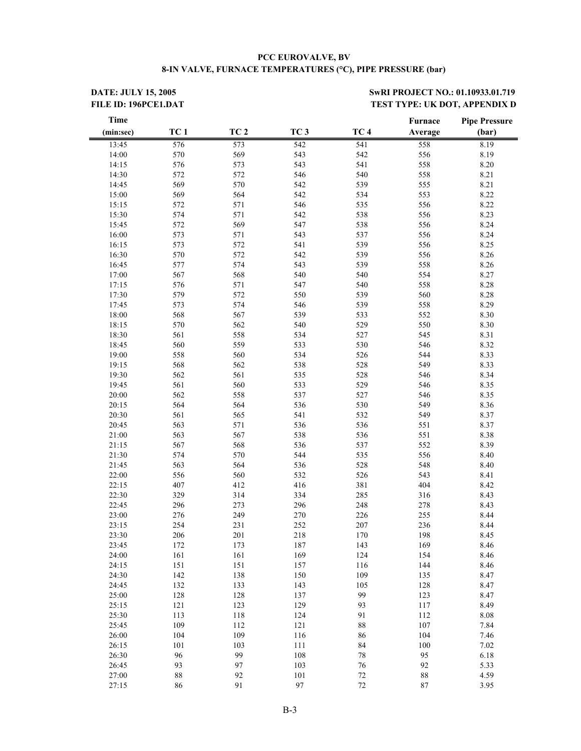#### **PCC EUROVALVE, BV 8-IN VALVE, FURNACE TEMPERATURES (°C), PIPE PRESSURE (bar)**

**DATE: JULY 15, 2005** SwRI PROJECT NO.: 01.10933.01.719 FILE ID: 196PCE1.DAT **TEST TYPE: UK DOT, APPENDIX D** 

| <b>Time</b> |                 |                 |                 |                 | Furnace | <b>Pipe Pressure</b> |
|-------------|-----------------|-----------------|-----------------|-----------------|---------|----------------------|
| (min:sec)   | TC <sub>1</sub> | TC <sub>2</sub> | TC <sub>3</sub> | TC <sub>4</sub> | Average | (bar)                |
| 13:45       | 576             | 573             | 542             | 541             | 558     | 8.19                 |
| 14:00       | 570             | 569             | 543             | 542             | 556     | 8.19                 |
| 14:15       | 576             | 573             | 543             | 541             | 558     | 8.20                 |
| 14:30       | 572             | 572             | 546             | 540             | 558     | 8.21                 |
| 14:45       | 569             | 570             | 542             | 539             | 555     | 8.21                 |
| 15:00       | 569             | 564             | 542             | 534             | 553     | 8.22                 |
| 15:15       | 572             | 571             | 546             | 535             | 556     | 8.22                 |
| 15:30       | 574             | 571             | 542             | 538             | 556     | 8.23                 |
| 15:45       | 572             | 569             | 547             | 538             | 556     | 8.24                 |
| 16:00       | 573             | 571             | 543             | 537             | 556     | 8.24                 |
| 16:15       | 573             | 572             | 541             | 539             | 556     | 8.25                 |
| 16:30       | 570             | 572             | 542             | 539             | 556     | 8.26                 |
| 16:45       | 577             | 574             | 543             | 539             | 558     | 8.26                 |
| 17:00       | 567             | 568             | 540             | 540             | 554     | 8.27                 |
| 17:15       | 576             | 571             | 547             | 540             | 558     | 8.28                 |
| 17:30       | 579             | 572             | 550             | 539             | 560     | 8.28                 |
| 17:45       | 573             | 574             | 546             | 539             | 558     | 8.29                 |
| 18:00       | 568             | 567             | 539             | 533             | 552     | 8.30                 |
|             | 570             | 562             | 540             | 529             |         |                      |
| 18:15       |                 |                 |                 |                 | 550     | 8.30                 |
| 18:30       | 561             | 558             | 534             | 527             | 545     | 8.31                 |
| 18:45       | 560             | 559             | 533             | 530             | 546     | 8.32                 |
| 19:00       | 558             | 560             | 534             | 526             | 544     | 8.33                 |
| 19:15       | 568             | 562             | 538             | 528             | 549     | 8.33                 |
| 19:30       | 562             | 561             | 535             | 528             | 546     | 8.34                 |
| 19:45       | 561             | 560             | 533             | 529             | 546     | 8.35                 |
| 20:00       | 562             | 558             | 537             | 527             | 546     | 8.35                 |
| 20:15       | 564             | 564             | 536             | 530             | 549     | 8.36                 |
| 20:30       | 561             | 565             | 541             | 532             | 549     | 8.37                 |
| 20:45       | 563             | 571             | 536             | 536             | 551     | 8.37                 |
| 21:00       | 563             | 567             | 538             | 536             | 551     | 8.38                 |
| 21:15       | 567             | 568             | 536             | 537             | 552     | 8.39                 |
| 21:30       | 574             | 570             | 544             | 535             | 556     | 8.40                 |
| 21:45       | 563             | 564             | 536             | 528             | 548     | 8.40                 |
| 22:00       | 556             | 560             | 532             | 526             | 543     | 8.41                 |
| 22:15       | 407             | 412             | 416             | 381             | 404     | 8.42                 |
| 22:30       | 329             | 314             | 334             | 285             | 316     | 8.43                 |
| 22:45       | 296             | 273             | 296             | 248             | 278     | 8.43                 |
| 23:00       | 276             | 249             | 270             | 226             | 255     | 8.44                 |
| 23:15       | 254             | 231             | 252             | 207             | 236     | 8.44                 |
| 23:30       | 206             | 201             | 218             | 170             | 198     | 8.45                 |
| 23:45       | 172             | 173             | 187             | 143             | 169     | 8.46                 |
| 24:00       | 161             | 161             | 169             | 124             | 154     | 8.46                 |
| 24:15       | 151             | 151             | 157             | 116             | 144     | 8.46                 |
| 24:30       | 142             | 138             | 150             | 109             | 135     | 8.47                 |
| 24:45       | 132             | 133             | 143             | 105             | 128     | 8.47                 |
| 25:00       | 128             | 128             | 137             | 99              | 123     | 8.47                 |
| 25:15       | 121             | 123             | 129             | 93              | 117     | 8.49                 |
| 25:30       | 113             | 118             | 124             | 91              | 112     | $8.08\,$             |
| 25:45       | 109             | 112             | 121             | $88\,$          | 107     | 7.84                 |
| 26:00       | 104             | 109             | 116             | 86              | 104     | 7.46                 |
| 26:15       | 101             | 103             | 111             | 84              | 100     | 7.02                 |
| 26:30       | 96              | 99              | 108             | 78              | 95      | 6.18                 |
| 26:45       | 93              | 97              | 103             | 76              | 92      | 5.33                 |
| 27:00       | 88              | 92              | 101             | $72\,$          | $88\,$  | 4.59                 |
| 27:15       | 86              | 91              | 97              | $72\,$          | $87\,$  | 3.95                 |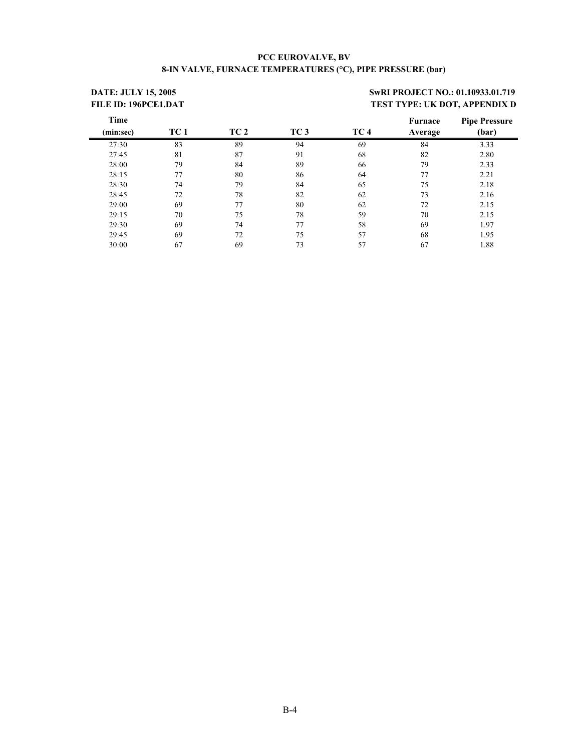#### **PCC EUROVALVE, BV 8-IN VALVE, FURNACE TEMPERATURES (°C), PIPE PRESSURE (bar)**

# **DATE: JULY 15, 2005** SwRI PROJECT NO.: 01.10933.01.719 FILE ID: 196PCE1.DAT **TEST TYPE: UK DOT, APPENDIX D**

| Time      |      |      |                 |                 | <b>Furnace</b> | <b>Pipe Pressure</b> |
|-----------|------|------|-----------------|-----------------|----------------|----------------------|
| (min:sec) | TC 1 | TC 2 | TC <sub>3</sub> | TC <sub>4</sub> | Average        | (bar)                |
| 27:30     | 83   | 89   | 94              | 69              | 84             | 3.33                 |
| 27:45     | 81   | 87   | 91              | 68              | 82             | 2.80                 |
| 28:00     | 79   | 84   | 89              | 66              | 79             | 2.33                 |
| 28:15     | 77   | 80   | 86              | 64              | 77             | 2.21                 |
| 28:30     | 74   | 79   | 84              | 65              | 75             | 2.18                 |
| 28:45     | 72   | 78   | 82              | 62              | 73             | 2.16                 |
| 29:00     | 69   | 77   | 80              | 62              | 72             | 2.15                 |
| 29:15     | 70   | 75   | 78              | 59              | 70             | 2.15                 |
| 29:30     | 69   | 74   | 77              | 58              | 69             | 1.97                 |
| 29:45     | 69   | 72   | 75              | 57              | 68             | 1.95                 |
| 30:00     | 67   | 69   | 73              | 57              | 67             | 1.88                 |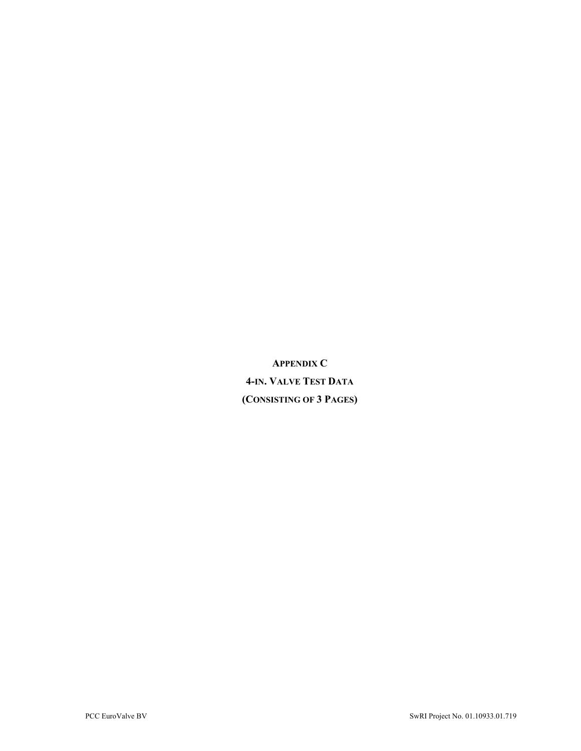**APPENDIX C 4-IN. VALVE TEST DATA (CONSISTING OF 3 PAGES)**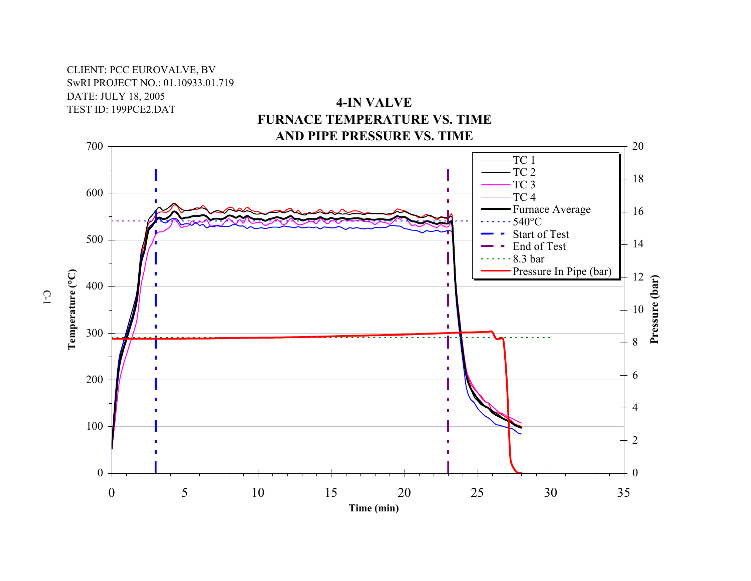# CLIENT: PCC EUROVALVE, BV SwRI PROJECT NO.: 01.10933.01.719 DATE: JULY 18, 2005 TEST ID: 199PCE2.DAT





C-1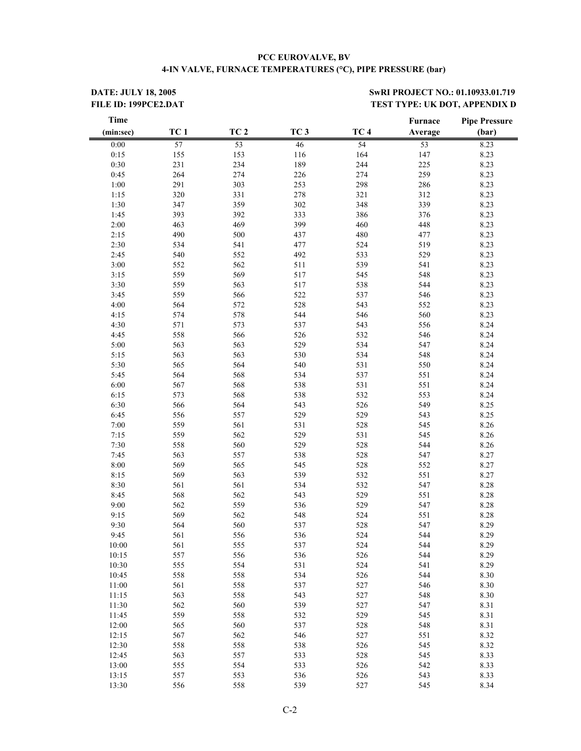#### **PCC EUROVALVE, BV 4-IN VALVE, FURNACE TEMPERATURES (°C), PIPE PRESSURE (bar)**

**DATE: JULY 18, 2005** SwRI PROJECT NO.: 01.10933.01.719 FILE ID: 199PCE2.DAT TEST TYPE: UK DOT, APPENDIX D

| <b>Time</b> |                 |                 |                 |                 | Furnace | <b>Pipe Pressure</b> |
|-------------|-----------------|-----------------|-----------------|-----------------|---------|----------------------|
| (min:sec)   | TC <sub>1</sub> | TC <sub>2</sub> | TC <sub>3</sub> | TC <sub>4</sub> | Average | (bar)                |
| 0:00        | 57              | 53              | 46              | 54              | 53      | 8.23                 |
| 0:15        | 155             | 153             | 116             | 164             | 147     | 8.23                 |
| $0:30$      | 231             | 234             | 189             | 244             | 225     | 8.23                 |
| 0:45        | 264             | 274             | 226             | 274             | 259     | 8.23                 |
| 1:00        | 291             | 303             | 253             | 298             | 286     | 8.23                 |
| 1:15        | 320             | 331             | 278             | 321             | 312     | 8.23                 |
| 1:30        | 347             | 359             | 302             | 348             | 339     | 8.23                 |
| 1:45        | 393             | 392             | 333             | 386             | 376     | 8.23                 |
| 2:00        | 463             | 469             | 399             | 460             | 448     | 8.23                 |
| 2:15        | 490             | 500             | 437             | 480             | 477     | 8.23                 |
| 2:30        | 534             | 541             | 477             | 524             | 519     | 8.23                 |
| 2:45        | 540             | 552             | 492             | 533             | 529     | 8.23                 |
| 3:00        | 552             | 562             | 511             | 539             | 541     | 8.23                 |
| 3:15        | 559             | 569             | 517             | 545             | 548     | 8.23                 |
| 3:30        | 559             | 563             | 517             | 538             | 544     | 8.23                 |
| 3:45        | 559             | 566             | 522             | 537             | 546     | 8.23                 |
|             |                 |                 |                 |                 |         |                      |
| 4:00        | 564             | 572             | 528             | 543             | 552     | 8.23                 |
| 4:15        | 574             | 578             | 544             | 546             | 560     | 8.23                 |
| 4:30        | 571             | 573             | 537             | 543             | 556     | 8.24                 |
| 4:45        | 558             | 566             | 526             | 532             | 546     | 8.24                 |
| 5:00        | 563             | 563             | 529             | 534             | 547     | 8.24                 |
| 5:15        | 563             | 563             | 530             | 534             | 548     | 8.24                 |
| 5:30        | 565             | 564             | 540             | 531             | 550     | 8.24                 |
| 5:45        | 564             | 568             | 534             | 537             | 551     | 8.24                 |
| 6:00        | 567             | 568             | 538             | 531             | 551     | 8.24                 |
| 6:15        | 573             | 568             | 538             | 532             | 553     | 8.24                 |
| 6:30        | 566             | 564             | 543             | 526             | 549     | 8.25                 |
| 6:45        | 556             | 557             | 529             | 529             | 543     | 8.25                 |
| 7:00        | 559             | 561             | 531             | 528             | 545     | 8.26                 |
| 7:15        | 559             | 562             | 529             | 531             | 545     | 8.26                 |
| 7:30        | 558             | 560             | 529             | 528             | 544     | 8.26                 |
| 7:45        | 563             | 557             | 538             | 528             | 547     | 8.27                 |
| 8:00        | 569             | 565             | 545             | 528             | 552     | 8.27                 |
| 8:15        | 569             | 563             | 539             | 532             | 551     | 8.27                 |
| 8:30        | 561             | 561             | 534             | 532             | 547     | 8.28                 |
| 8:45        | 568             | 562             | 543             | 529             | 551     | 8.28                 |
| 9:00        | 562             | 559             | 536             | 529             | 547     | 8.28                 |
| 9:15        | 569             | 562             | 548             | 524             | 551     | 8.28                 |
| 9:30        | 564             | 560             | 537             | 528             | 547     | 8.29                 |
| 9:45        | 561             | 556             | 536             | 524             | 544     | 8.29                 |
| 10:00       | 561             | 555             | 537             | 524             | 544     | 8.29                 |
| 10:15       | 557             | 556             | 536             | 526             | 544     | 8.29                 |
| 10:30       | 555             | 554             | 531             | 524             | 541     | 8.29                 |
| 10:45       | 558             | 558             | 534             | 526             | 544     | 8.30                 |
| 11:00       | 561             | 558             | 537             | 527             | 546     | 8.30                 |
| 11:15       | 563             | 558             | 543             | 527             | 548     | 8.30                 |
| 11:30       | 562             | 560             | 539             | 527             | 547     | 8.31                 |
| 11:45       | 559             | 558             | 532             | 529             | 545     | 8.31                 |
|             |                 |                 |                 |                 |         |                      |
| 12:00       | 565             | 560             | 537             | 528             | 548     | 8.31                 |
| 12:15       | 567             | 562             | 546             | 527             | 551     | 8.32                 |
| 12:30       | 558             | 558             | 538             | 526             | 545     | 8.32                 |
| 12:45       | 563             | 557             | 533             | 528             | 545     | 8.33                 |
| 13:00       | 555             | 554             | 533             | 526             | 542     | 8.33                 |
| 13:15       | 557             | 553             | 536             | 526             | 543     | 8.33                 |
| 13:30       | 556             | 558             | 539             | 527             | 545     | 8.34                 |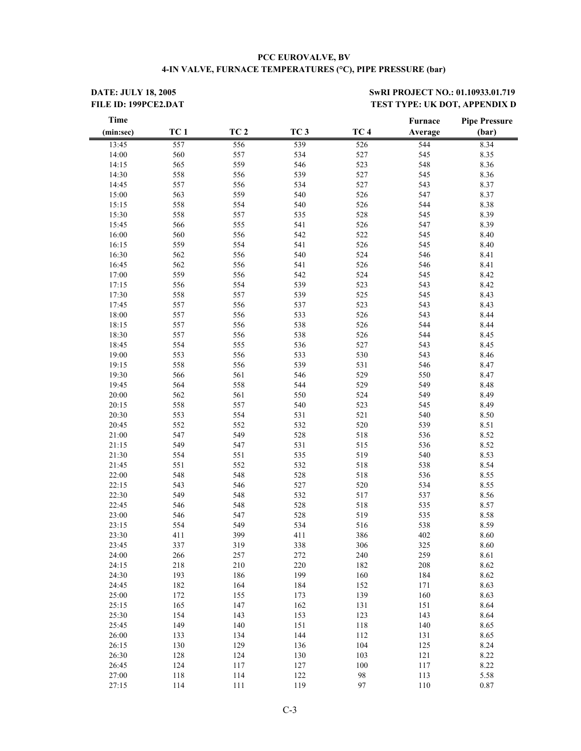#### **PCC EUROVALVE, BV 4-IN VALVE, FURNACE TEMPERATURES (°C), PIPE PRESSURE (bar)**

**DATE: JULY 18, 2005** SwRI PROJECT NO.: 01.10933.01.719 FILE ID: 199PCE2.DAT TEST TYPE: UK DOT, APPENDIX D

| <b>Time</b> |                 |                 |                 |                 | Furnace | <b>Pipe Pressure</b> |
|-------------|-----------------|-----------------|-----------------|-----------------|---------|----------------------|
| (min:sec)   | TC <sub>1</sub> | TC <sub>2</sub> | TC <sub>3</sub> | TC <sub>4</sub> | Average | (bar)                |
| 13:45       | 557             | 556             | 539             | 526             | 544     | 8.34                 |
| 14:00       | 560             | 557             | 534             | 527             | 545     | 8.35                 |
| 14:15       | 565             | 559             | 546             | 523             | 548     | 8.36                 |
| 14:30       | 558             | 556             | 539             | 527             | 545     | 8.36                 |
| 14:45       | 557             | 556             | 534             | 527             | 543     | 8.37                 |
| 15:00       | 563             | 559             | 540             | 526             | 547     | 8.37                 |
| 15:15       | 558             | 554             | 540             | 526             | 544     | 8.38                 |
| 15:30       | 558             | 557             | 535             | 528             | 545     | 8.39                 |
| 15:45       | 566             | 555             | 541             | 526             | 547     | 8.39                 |
| 16:00       | 560             | 556             | 542             | 522             | 545     | 8.40                 |
| 16:15       | 559             | 554             | 541             | 526             | 545     | 8.40                 |
| 16:30       | 562             | 556             | 540             | 524             | 546     | 8.41                 |
| 16:45       | 562             | 556             | 541             | 526             | 546     | 8.41                 |
| 17:00       | 559             | 556             | 542             | 524             | 545     | 8.42                 |
| 17:15       | 556             | 554             | 539             | 523             | 543     | 8.42                 |
| 17:30       | 558             | 557             | 539             | 525             | 545     | 8.43                 |
| 17:45       | 557             | 556             | 537             | 523             | 543     | 8.43                 |
| 18:00       | 557             | 556             | 533             | 526             | 543     | 8.44                 |
| 18:15       | 557             | 556             | 538             | 526             | 544     | 8.44                 |
| 18:30       | 557             | 556             | 538             | 526             | 544     | 8.45                 |
| 18:45       | 554             | 555             | 536             | 527             | 543     | 8.45                 |
| 19:00       | 553             | 556             | 533             | 530             | 543     | 8.46                 |
| 19:15       | 558             | 556             | 539             | 531             | 546     | 8.47                 |
| 19:30       | 566             | 561             | 546             | 529             | 550     | 8.47                 |
|             |                 |                 |                 |                 |         |                      |
| 19:45       | 564             | 558             | 544             | 529             | 549     | 8.48                 |
| 20:00       | 562             | 561             | 550             | 524             | 549     | 8.49                 |
| 20:15       | 558             | 557             | 540             | 523             | 545     | 8.49                 |
| 20:30       | 553             | 554             | 531             | 521             | 540     | 8.50                 |
| 20:45       | 552             | 552             | 532             | 520             | 539     | 8.51                 |
| 21:00       | 547             | 549             | 528             | 518             | 536     | 8.52                 |
| 21:15       | 549             | 547             | 531             | 515             | 536     | 8.52                 |
| 21:30       | 554             | 551             | 535             | 519             | 540     | 8.53                 |
| 21:45       | 551             | 552             | 532             | 518             | 538     | 8.54                 |
| 22:00       | 548             | 548             | 528             | 518             | 536     | 8.55                 |
| 22:15       | 543             | 546             | 527             | 520             | 534     | 8.55                 |
| 22:30       | 549             | 548             | 532             | 517             | 537     | 8.56                 |
| 22:45       | 546             | 548             | 528             | 518             | 535     | 8.57                 |
| 23:00       | 546             | 547             | 528             | 519             | 535     | 8.58                 |
| 23:15       | 554             | 549             | 534             | 516             | 538     | 8.59                 |
| 23:30       | 411             | 399             | 411             | 386             | 402     | 8.60                 |
| 23:45       | 337             | 319             | 338             | 306             | 325     | 8.60                 |
| 24:00       | 266             | 257             | 272             | 240             | 259     | 8.61                 |
| 24:15       | 218             | 210             | 220             | 182             | 208     | 8.62                 |
| 24:30       | 193             | 186             | 199             | 160             | 184     | 8.62                 |
| 24:45       | 182             | 164             | 184             | 152             | 171     | 8.63                 |
| 25:00       | 172             | 155             | 173             | 139             | 160     | 8.63                 |
| 25:15       | 165             | 147             | 162             | 131             | 151     | 8.64                 |
| 25:30       | 154             | 143             | 153             | 123             | 143     | 8.64                 |
| 25:45       | 149             | 140             | 151             | 118             | 140     | 8.65                 |
| 26:00       | 133             | 134             | 144             | 112             | 131     | 8.65                 |
| 26:15       | 130             | 129             | 136             | 104             | 125     | 8.24                 |
| 26:30       | 128             | 124             | 130             | 103             | 121     | 8.22                 |
| 26:45       | 124             | 117             | 127             | $100\,$         | 117     | 8.22                 |
| 27:00       | 118             | 114             | 122             | 98              | 113     | 5.58                 |
| 27:15       | 114             | 111             | 119             | 97              | 110     | 0.87                 |